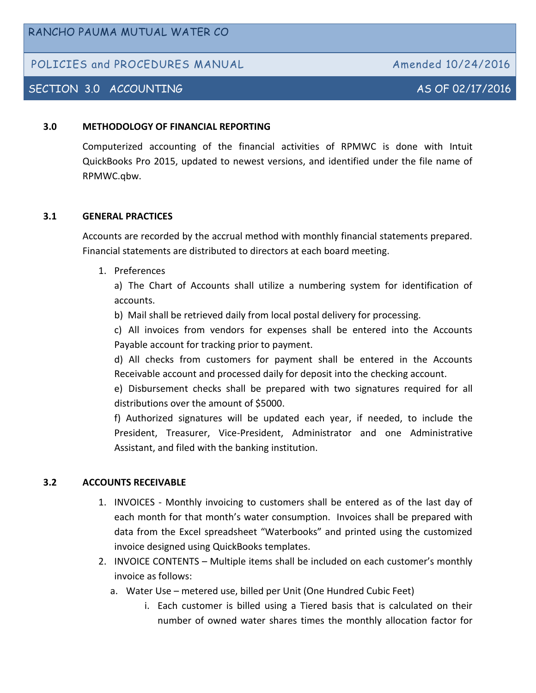# POLICIES and PROCEDURES MANUAL Amended 10/24/2016

# SECTION 3.0 ACCOUNTING AS OF 02/17/2016

#### **3.0 METHODOLOGY OF FINANCIAL REPORTING**

Computerized accounting of the financial activities of RPMWC is done with Intuit QuickBooks Pro 2015, updated to newest versions, and identified under the file name of RPMWC.qbw.

#### **3.1 GENERAL PRACTICES**

Accounts are recorded by the accrual method with monthly financial statements prepared. Financial statements are distributed to directors at each board meeting.

#### 1. Preferences

a) The Chart of Accounts shall utilize a numbering system for identification of accounts.

b) Mail shall be retrieved daily from local postal delivery for processing.

c) All invoices from vendors for expenses shall be entered into the Accounts Payable account for tracking prior to payment.

d) All checks from customers for payment shall be entered in the Accounts Receivable account and processed daily for deposit into the checking account.

e) Disbursement checks shall be prepared with two signatures required for all distributions over the amount of \$5000.

f) Authorized signatures will be updated each year, if needed, to include the President, Treasurer, Vice-President, Administrator and one Administrative Assistant, and filed with the banking institution.

#### **3.2 ACCOUNTS RECEIVABLE**

- 1. INVOICES Monthly invoicing to customers shall be entered as of the last day of each month for that month's water consumption. Invoices shall be prepared with data from the Excel spreadsheet "Waterbooks" and printed using the customized invoice designed using QuickBooks templates.
- 2. INVOICE CONTENTS Multiple items shall be included on each customer's monthly invoice as follows:
	- a. Water Use metered use, billed per Unit (One Hundred Cubic Feet)
		- i. Each customer is billed using a Tiered basis that is calculated on their number of owned water shares times the monthly allocation factor for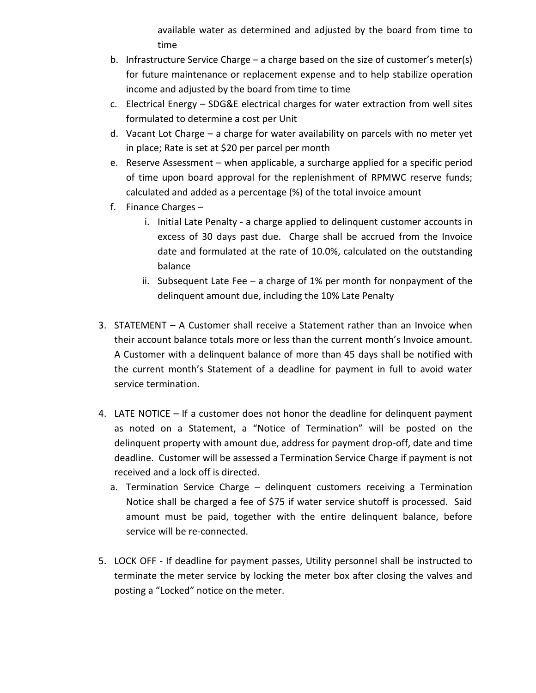available water as determined and adjusted by the board from time to time

- b. Infrastructure Service Charge a charge based on the size of customer's meter(s) for future maintenance or replacement expense and to help stabilize operation income and adjusted by the board from time to time
- c. Electrical Energy SDG&E electrical charges for water extraction from well sites formulated to determine a cost per Unit
- d. Vacant Lot Charge a charge for water availability on parcels with no meter yet in place; Rate is set at \$20 per parcel per month
- e. Reserve Assessment when applicable, a surcharge applied for a specific period of time upon board approval for the replenishment of RPMWC reserve funds; calculated and added as a percentage (%) of the total invoice amount
- f. Finance Charges
	- i. Initial Late Penalty a charge applied to delinquent customer accounts in excess of 30 days past due. Charge shall be accrued from the Invoice date and formulated at the rate of 10.0%, calculated on the outstanding balance
	- ii. Subsequent Late Fee a charge of 1% per month for nonpayment of the delinquent amount due, including the 10% Late Penalty
- 3. STATEMENT A Customer shall receive a Statement rather than an Invoice when their account balance totals more or less than the current month's Invoice amount. A Customer with a delinquent balance of more than 45 days shall be notified with the current month's Statement of a deadline for payment in full to avoid water service termination.
- 4. LATE NOTICE If a customer does not honor the deadline for delinquent payment as noted on a Statement, a "Notice of Termination" will be posted on the delinquent property with amount due, address for payment drop-off, date and time deadline. Customer will be assessed a Termination Service Charge if payment is not received and a lock off is directed.
	- a. Termination Service Charge delinquent customers receiving a Termination Notice shall be charged a fee of \$75 if water service shutoff is processed. Said amount must be paid, together with the entire delinquent balance, before service will be re-connected.
- 5. LOCK OFF If deadline for payment passes, Utility personnel shall be instructed to terminate the meter service by locking the meter box after closing the valves and posting a "Locked" notice on the meter.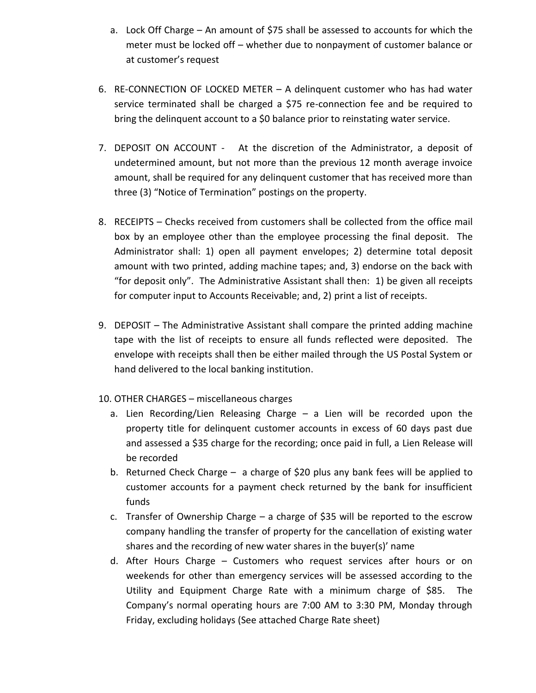- a. Lock Off Charge An amount of \$75 shall be assessed to accounts for which the meter must be locked off – whether due to nonpayment of customer balance or at customer's request
- 6. RE-CONNECTION OF LOCKED METER A delinquent customer who has had water service terminated shall be charged a \$75 re-connection fee and be required to bring the delinquent account to a \$0 balance prior to reinstating water service.
- 7. DEPOSIT ON ACCOUNT At the discretion of the Administrator, a deposit of undetermined amount, but not more than the previous 12 month average invoice amount, shall be required for any delinquent customer that has received more than three (3) "Notice of Termination" postings on the property.
- 8. RECEIPTS Checks received from customers shall be collected from the office mail box by an employee other than the employee processing the final deposit. The Administrator shall: 1) open all payment envelopes; 2) determine total deposit amount with two printed, adding machine tapes; and, 3) endorse on the back with "for deposit only". The Administrative Assistant shall then: 1) be given all receipts for computer input to Accounts Receivable; and, 2) print a list of receipts.
- 9. DEPOSIT The Administrative Assistant shall compare the printed adding machine tape with the list of receipts to ensure all funds reflected were deposited. The envelope with receipts shall then be either mailed through the US Postal System or hand delivered to the local banking institution.
- 10. OTHER CHARGES miscellaneous charges
	- a. Lien Recording/Lien Releasing Charge a Lien will be recorded upon the property title for delinquent customer accounts in excess of 60 days past due and assessed a \$35 charge for the recording; once paid in full, a Lien Release will be recorded
	- b. Returned Check Charge a charge of \$20 plus any bank fees will be applied to customer accounts for a payment check returned by the bank for insufficient funds
	- c. Transfer of Ownership Charge a charge of \$35 will be reported to the escrow company handling the transfer of property for the cancellation of existing water shares and the recording of new water shares in the buyer(s)' name
	- d. After Hours Charge Customers who request services after hours or on weekends for other than emergency services will be assessed according to the Utility and Equipment Charge Rate with a minimum charge of \$85. The Company's normal operating hours are 7:00 AM to 3:30 PM, Monday through Friday, excluding holidays (See attached Charge Rate sheet)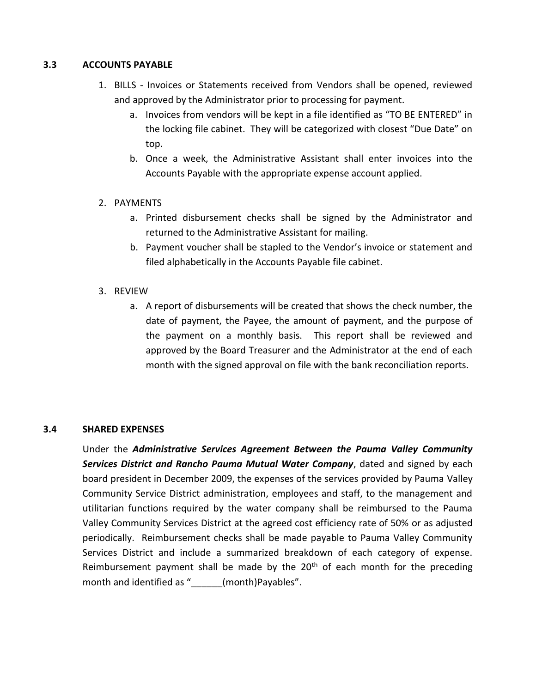#### **3.3 ACCOUNTS PAYABLE**

- 1. BILLS Invoices or Statements received from Vendors shall be opened, reviewed and approved by the Administrator prior to processing for payment.
	- a. Invoices from vendors will be kept in a file identified as "TO BE ENTERED" in the locking file cabinet. They will be categorized with closest "Due Date" on top.
	- b. Once a week, the Administrative Assistant shall enter invoices into the Accounts Payable with the appropriate expense account applied.

## 2. PAYMENTS

- a. Printed disbursement checks shall be signed by the Administrator and returned to the Administrative Assistant for mailing.
- b. Payment voucher shall be stapled to the Vendor's invoice or statement and filed alphabetically in the Accounts Payable file cabinet.
- 3. REVIEW
	- a. A report of disbursements will be created that shows the check number, the date of payment, the Payee, the amount of payment, and the purpose of the payment on a monthly basis. This report shall be reviewed and approved by the Board Treasurer and the Administrator at the end of each month with the signed approval on file with the bank reconciliation reports.

## **3.4 SHARED EXPENSES**

Under the *Administrative Services Agreement Between the Pauma Valley Community Services District and Rancho Pauma Mutual Water Company*, dated and signed by each board president in December 2009, the expenses of the services provided by Pauma Valley Community Service District administration, employees and staff, to the management and utilitarian functions required by the water company shall be reimbursed to the Pauma Valley Community Services District at the agreed cost efficiency rate of 50% or as adjusted periodically. Reimbursement checks shall be made payable to Pauma Valley Community Services District and include a summarized breakdown of each category of expense. Reimbursement payment shall be made by the  $20<sup>th</sup>$  of each month for the preceding month and identified as " (month)Payables".